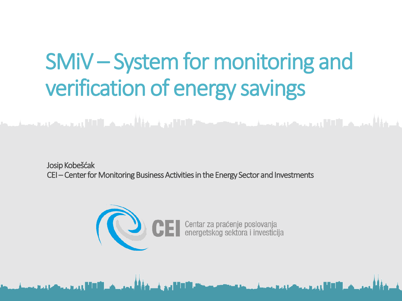# SMiV – System for monitoring and verification of energy savings

والأكال ويرويه والمتحادث والمستنبط والمتحدث والمتحدث الكالم فالمتحدث

<u>.</u><br>District of the first party of the control of the control of the control of the control of the control of the c

Josip Kobešćak CEI – Center for Monitoring Business Activities in the Energy Sector and Investments

فمنحفظ أألأأ المرتمين كالمر

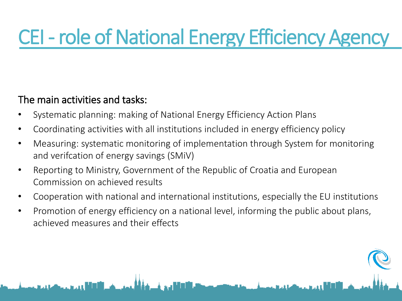## CEI - role of National Energy Efficiency Agency

#### The main activities and tasks:

- Systematic planning: making of National Energy Efficiency Action Plans
- Coordinating activities with all institutions included in energy efficiency policy
- Measuring: systematic monitoring of implementation through System for monitoring and verifcation of energy savings (SMiV)
- Reporting to Ministry, Government of the Republic of Croatia and European Commission on achieved results
- Cooperation with national and international institutions, especially the EU institutions
- Promotion of energy efficiency on a national level, informing the public about plans, achieved measures and their effects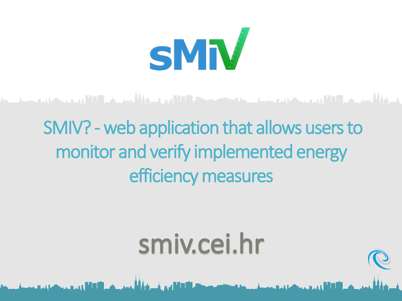

#### والأربع بريان الالتان ومروح ومستعاد ومستور ومستقبلا الالتجاء والمؤاثر ومريد والكال ومستقبل ومستحدث

## SMIV? - web application that allows users to monitor and verify implemented energy efficiency measures

# smiv.cei.hr

and a final state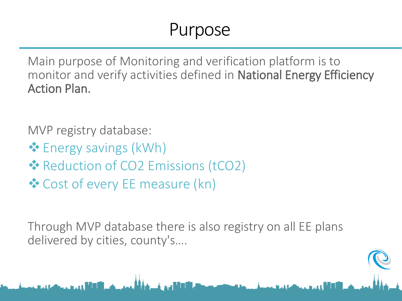#### Purpose

Main purpose of Monitoring and verification platform is to monitor and verify activities defined in National Energy Efficiency Action Plan.

MVP registry database:

- $\triangleq$  Energy savings (kWh)
- **Example 25 Production of CO2 Emissions (tCO2)**
- $\triangle$  Cost of every EE measure (kn)

Through MVP database there is also registry on all EE plans delivered by cities, county's….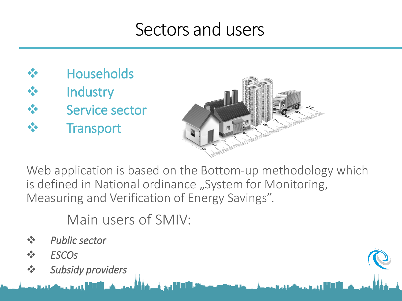#### Sectors and users

 Households **Industry**  Service sector **Transport** 



Web application is based on the Bottom-up methodology which is defined in National ordinance "System for Monitoring, Measuring and Verification of Energy Savings".

Main users of SMIV:

- *Public sector*
- *ESCOs*
- *Subsidy providers*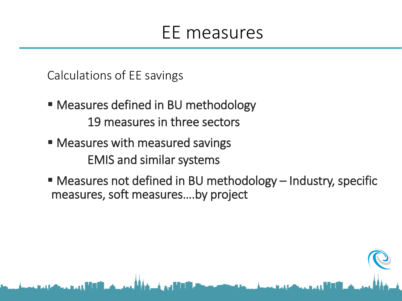#### EE measures

Calculations of EE savings

- **Measures defined in BU methodology** 19 measures in three sectors
- Measures with measured savings EMIS and similar systems
- Measures not defined in BU methodology Industry, specific measures, soft measures….by project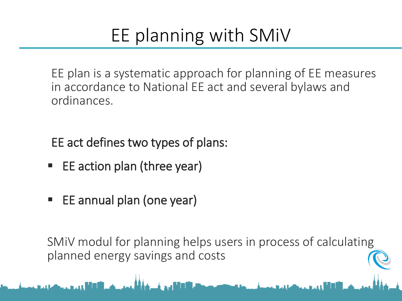## EE planning with SMiV

EE plan is a systematic approach for planning of EE measures in accordance to National EE act and several bylaws and ordinances.

EE act defines two types of plans:

- EE action plan (three year)
- EE annual plan (one year)

SMiV modul for planning helps users in process of calculating planned energy savings and costs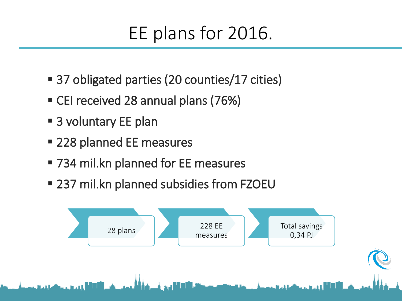## EE plans for 2016.

- 37 obligated parties (20 counties/17 cities)
- CEI received 28 annual plans (76%)
- 3 voluntary EE plan
- 228 planned EE measures
- 734 mil.kn planned for EE measures
- 237 mil.kn planned subsidies from FZOEU

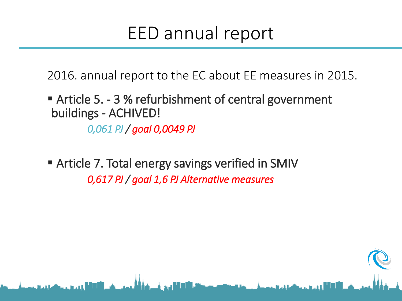#### EED annual report

2016. annual report to the EC about EE measures in 2015.

#### Article 5. - 3 % refurbishment of central government buildings - ACHIVED!  *0,061 PJ / goal 0,0049 PJ*

 Article 7. Total energy savings verified in SMIV  *0,617 PJ / goal 1,6 PJ Alternative measures*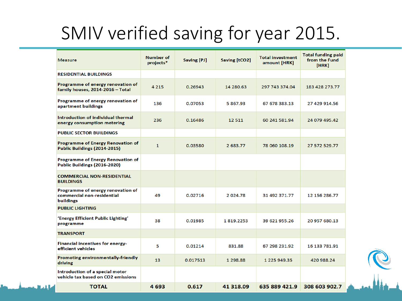### SMIV verified saving for year 2015.

| <b>Measure</b>                                                               | <b>Number of</b><br>projects* | <b>Saving [PJ]</b> | Saving [tCO2] | <b>Total investment</b><br>amount [HRK] | <b>Total funding paid</b><br>from the Fund<br>[HRK] |
|------------------------------------------------------------------------------|-------------------------------|--------------------|---------------|-----------------------------------------|-----------------------------------------------------|
| <b>RESIDENTIAL BUILDINGS</b>                                                 |                               |                    |               |                                         |                                                     |
| Programme of energy renovation of<br>family houses, 2014-2016 - Total        | 4 2 1 5                       | 0.26943            | 14 280.63     | 297 743 374.04                          | 183 428 273.77                                      |
| Programme of energy renovation of<br>apartment buildings                     | 136                           | 0.07053            | 5 867.93      | 67 678 383.13                           | 27 429 914.56                                       |
| Introduction of individual thermal<br>energy consumption metering            | 236                           | 0.16486            | 12511         | 60 241 581.94                           | 24 079 495.42                                       |
| <b>PUBLIC SECTOR BUILDINGS</b>                                               |                               |                    |               |                                         |                                                     |
| <b>Programme of Energy Renovation of</b><br>Public Buildings (2014-2015)     | $\mathbf{1}$                  | 0.03580            | 2 683.77      | 78 060 108.19                           | 27 572 529.77                                       |
| <b>Programme of Energy Renovation of</b><br>Public Buildings (2016-2020)     |                               |                    |               |                                         |                                                     |
| <b>COMMERCIAL NON-RESIDENTIAL</b><br><b>BUILDINGS</b>                        |                               |                    |               |                                         |                                                     |
| Programme of energy renovation of<br>commercial non-residential<br>buildings | 49                            | 0.02716            | 2024.78       | 31 492 371.77                           | 12 156 286.77                                       |
| <b>PUBLIC LIGHTING</b>                                                       |                               |                    |               |                                         |                                                     |
| 'Energy Efficient Public Lighting'<br>programme                              | 38                            | 0.01985            | 1819.2253     | 39 621 955.26                           | 20 957 680.13                                       |
| <b>TRANSPORT</b>                                                             |                               |                    |               |                                         |                                                     |
| Financial incentives for energy-<br>efficient vehicles                       | 5                             | 0.01214            | 831.88        | 67 298 231.92                           | 16 133 781.91                                       |
| <b>Promoting environmentally-friendly</b><br>driving                         | 13                            | 0.017513           | 1 298.88      | 1 225 949.35                            | 420 988.24                                          |
| Introduction of a special motor<br>vehicle tax based on CO2 emissions        |                               |                    |               |                                         |                                                     |
| <b>TOTAL</b>                                                                 | 4693                          | 0.617              | 41 318.09     | 635 889 421.9                           | 308 603 902.7                                       |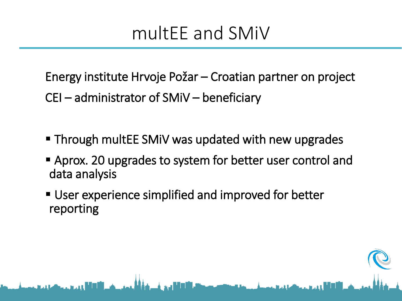#### multEE and SMiV

Energy institute Hrvoje Požar – Croatian partner on project

CEI – administrator of SMiV – beneficiary

- **Through multEE SMIV was updated with new upgrades**
- Aprox. 20 upgrades to system for better user control and data analysis
- User experience simplified and improved for better reporting